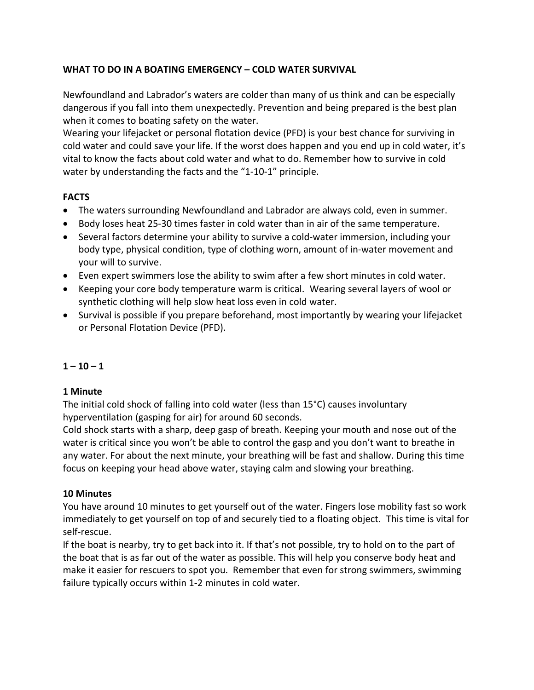# **WHAT TO DO IN A BOATING EMERGENCY – COLD WATER SURVIVAL**

Newfoundland and Labrador's waters are colder than many of us think and can be especially dangerous if you fall into them unexpectedly. Prevention and being prepared is the best plan when it comes to boating safety on the water.

Wearing your lifejacket or personal flotation device (PFD) is your best chance for surviving in cold water and could save your life. If the worst does happen and you end up in cold water, it's vital to know the facts about cold water and what to do. Remember how to survive in cold water by understanding the facts and the "1-10-1" principle.

## **FACTS**

- The waters surrounding Newfoundland and Labrador are always cold, even in summer.
- Body loses heat 25-30 times faster in cold water than in air of the same temperature.
- Several factors determine your ability to survive a cold-water immersion, including your body type, physical condition, type of clothing worn, amount of in-water movement and your will to survive.
- Even expert swimmers lose the ability to swim after a few short minutes in cold water.
- Keeping your core body temperature warm is critical. Wearing several layers of wool or synthetic clothing will help slow heat loss even in cold water.
- Survival is possible if you prepare beforehand, most importantly by wearing your lifejacket or Personal Flotation Device (PFD).

## **1 – 10 – 1**

## **1 Minute**

The initial cold shock of falling into cold water (less than 15°C) causes involuntary hyperventilation (gasping for air) for around 60 seconds.

Cold shock starts with a sharp, deep gasp of breath. Keeping your mouth and nose out of the water is critical since you won't be able to control the gasp and you don't want to breathe in any water. For about the next minute, your breathing will be fast and shallow. During this time focus on keeping your head above water, staying calm and slowing your breathing.

## **10 Minutes**

You have around 10 minutes to get yourself out of the water. Fingers lose mobility fast so work immediately to get yourself on top of and securely tied to a floating object. This time is vital for self-rescue.

If the boat is nearby, try to get back into it. If that's not possible, try to hold on to the part of the boat that is as far out of the water as possible. This will help you conserve body heat and make it easier for rescuers to spot you. Remember that even for strong swimmers, swimming failure typically occurs within 1-2 minutes in cold water.